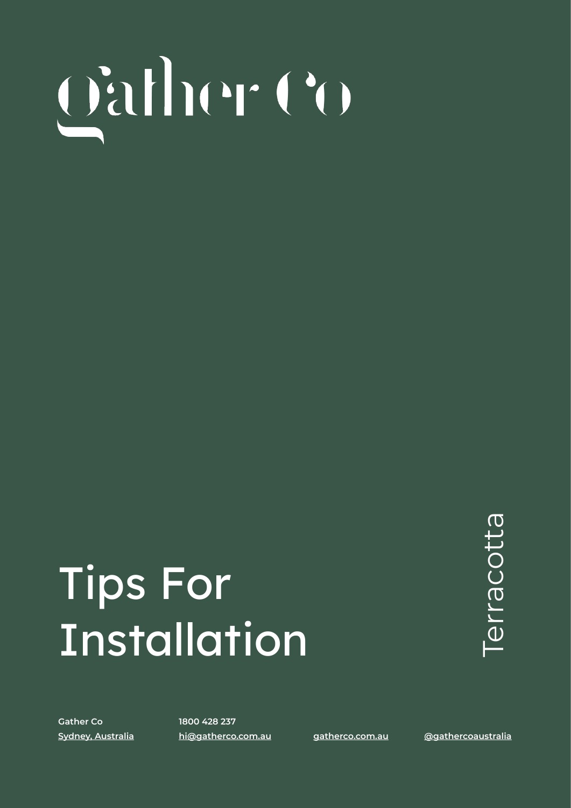# **TIPS FOR INSTALLATION** | TERRACOTTA

## Tips For **Installation**

erracotta Terracotta

**Gather Co 1800 428 237**

**[Sydney, Australia](https://www.google.com/maps/place/Gather+Co/@-33.623232,150.8059846,15z/data=!3m1!4b1!4m5!3m4!1s0x6b0d627fdd92245f:0x4cc7582c74182972!8m2!3d-33.6232502!4d150.8147394) [hi@gatherco.com.au](mailto:hi@gatherco.com.au) [gatherco.com.au](http://gatherco.com.au) [@gathercoaustralia](https://www.instagram.com/gathercoaustralia/)**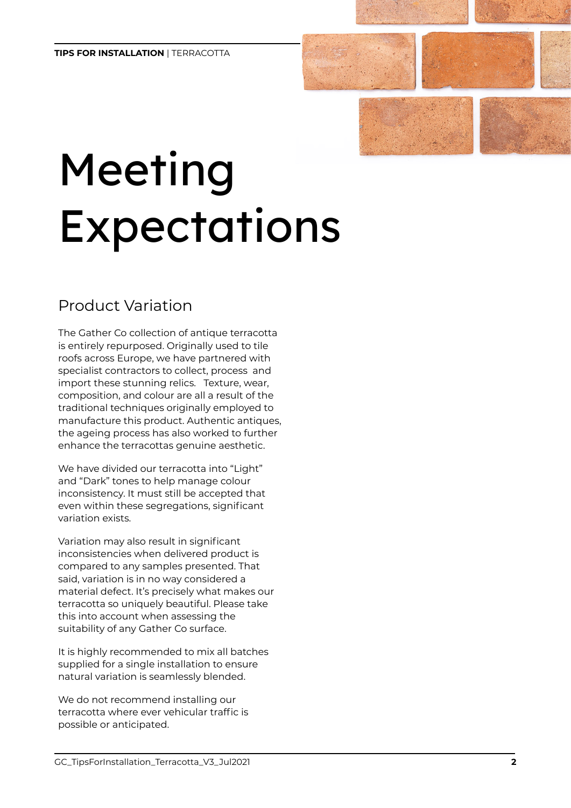# Meeting Expectations

#### Product Variation

The Gather Co collection of antique terracotta is entirely repurposed. Originally used to tile roofs across Europe, we have partnered with specialist contractors to collect, process and import these stunning relics. Texture, wear, composition, and colour are all a result of the traditional techniques originally employed to manufacture this product. Authentic antiques, the ageing process has also worked to further enhance the terracottas genuine aesthetic.

We have divided our terracotta into "Light" and "Dark" tones to help manage colour inconsistency. It must still be accepted that even within these segregations, significant variation exists.

Variation may also result in significant inconsistencies when delivered product is compared to any samples presented. That said, variation is in no way considered a material defect. It's precisely what makes our terracotta so uniquely beautiful. Please take this into account when assessing the suitability of any Gather Co surface.

It is highly recommended to mix all batches supplied for a single installation to ensure natural variation is seamlessly blended.

We do not recommend installing our terracotta where ever vehicular traffic is possible or anticipated.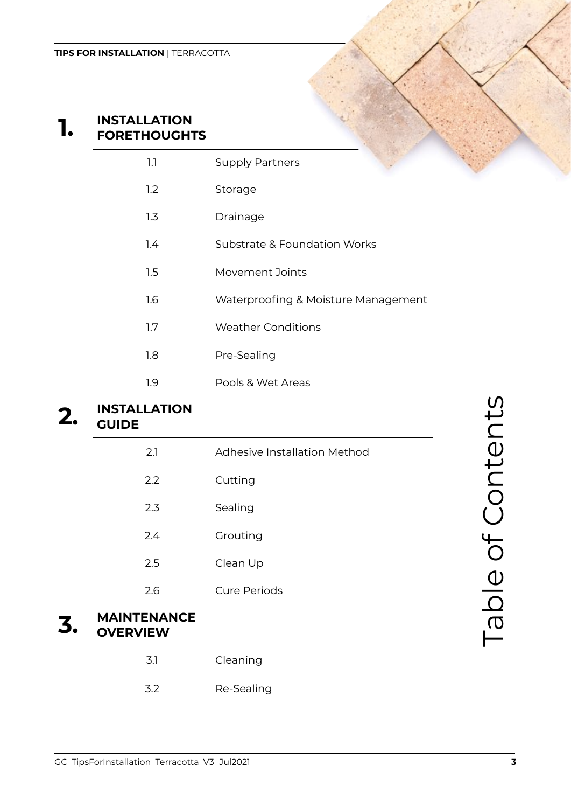### **1.) INSTALLATION FORETHOUGHTS**

### 1.1 Supply Partners

- 1.2 Storage
- 1.3 Drainage
- 1.4 Substrate & Foundation Works
- 1.5 Movement Joints
- 1.6 Waterproofing & Moisture Management
- 1.7 Weather Conditions
- 1.8 Pre-Sealing
- 1.9 Pools & Wet Areas

#### **2.) INSTALLATION GUIDE**

| 2.1                                   | <b>Adhesive Installation Method</b> |
|---------------------------------------|-------------------------------------|
| 2.2                                   | Cutting                             |
| 2.3                                   | Sealing                             |
| 2.4                                   | Grouting                            |
| 2.5                                   | Clean Up                            |
| 2.6                                   | <b>Cure Periods</b>                 |
| <b>MAINTENANCE</b><br><b>OVEDVIEW</b> |                                     |

#### **3.) MAINTENANCE OVERVIEW**

| 3.1 | Cleaning   |
|-----|------------|
| 3.2 | Re-Sealing |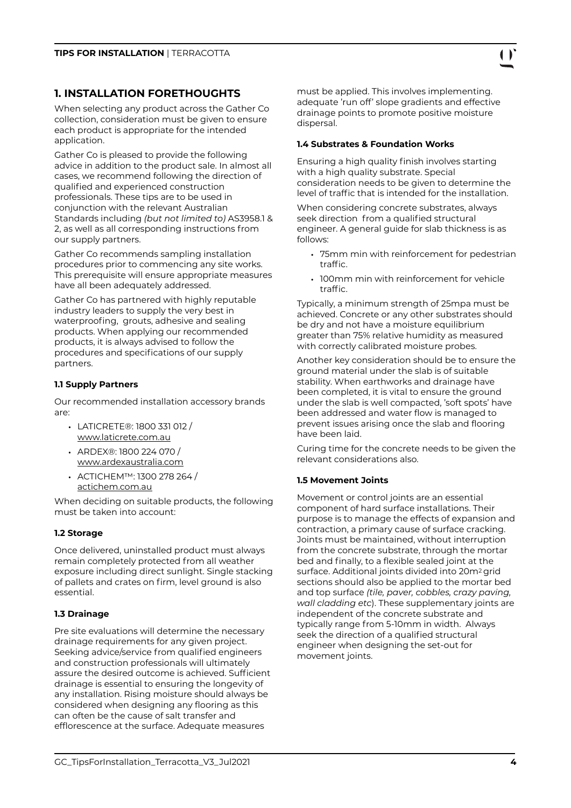#### **1. INSTALLATION FORETHOUGHTS**

When selecting any product across the Gather Co collection, consideration must be given to ensure each product is appropriate for the intended application.

Gather Co is pleased to provide the following advice in addition to the product sale. In almost all cases, we recommend following the direction of qualified and experienced construction professionals. These tips are to be used in conjunction with the relevant Australian Standards including *(but not limited to)* AS3958.1 & 2, as well as all corresponding instructions from our supply partners.

Gather Co recommends sampling installation procedures prior to commencing any site works. This prerequisite will ensure appropriate measures have all been adequately addressed.

Gather Co has partnered with highly reputable industry leaders to supply the very best in waterproofing, grouts, adhesive and sealing products. When applying our recommended products, it is always advised to follow the procedures and specifications of our supply partners.

#### **1.1 Supply Partners**

Our recommended installation accessory brands are:

- LATICRETE®: 1800 331 012 / [www.laticrete.com.au](http://www.laticrete.com.au)
- ARDEX®: 1800 224 070 / [www.ardexaustralia.com](http://www.ardexaustralia.com)
- ACTICHEM™: 1300 278 264 / [actichem.com.au](http://actichem.com.au)

When deciding on suitable products, the following must be taken into account:

#### **1.2 Storage**

Once delivered, uninstalled product must always remain completely protected from all weather exposure including direct sunlight. Single stacking of pallets and crates on firm, level ground is also essential.

#### **1.3 Drainage**

Pre site evaluations will determine the necessary drainage requirements for any given project. Seeking advice/service from qualified engineers and construction professionals will ultimately assure the desired outcome is achieved. Sufficient drainage is essential to ensuring the longevity of any installation. Rising moisture should always be considered when designing any flooring as this can often be the cause of salt transfer and efflorescence at the surface. Adequate measures

must be applied. This involves implementing. adequate 'run off' slope gradients and effective drainage points to promote positive moisture dispersal.

#### **1.4 Substrates & Foundation Works**

Ensuring a high quality finish involves starting with a high quality substrate. Special consideration needs to be given to determine the level of traffic that is intended for the installation.

When considering concrete substrates, always seek direction from a qualified structural engineer. A general guide for slab thickness is as follows:

- 75mm min with reinforcement for pedestrian traffic.
- 100mm min with reinforcement for vehicle traffic.

Typically, a minimum strength of 25mpa must be achieved. Concrete or any other substrates should be dry and not have a moisture equilibrium greater than 75% relative humidity as measured with correctly calibrated moisture probes.

Another key consideration should be to ensure the ground material under the slab is of suitable stability. When earthworks and drainage have been completed, it is vital to ensure the ground under the slab is well compacted, 'soft spots' have been addressed and water flow is managed to prevent issues arising once the slab and flooring have been laid.

Curing time for the concrete needs to be given the relevant considerations also.

#### **1.5 Movement Joints**

Movement or control joints are an essential component of hard surface installations. Their purpose is to manage the effects of expansion and contraction, a primary cause of surface cracking. Joints must be maintained, without interruption from the concrete substrate, through the mortar bed and finally, to a flexible sealed joint at the surface. Additional joints divided into 20m2 grid sections should also be applied to the mortar bed and top surface *(tile, paver, cobbles, crazy paving, wall cladding etc*). These supplementary joints are independent of the concrete substrate and typically range from 5-10mm in width. Always seek the direction of a qualified structural engineer when designing the set-out for movement joints.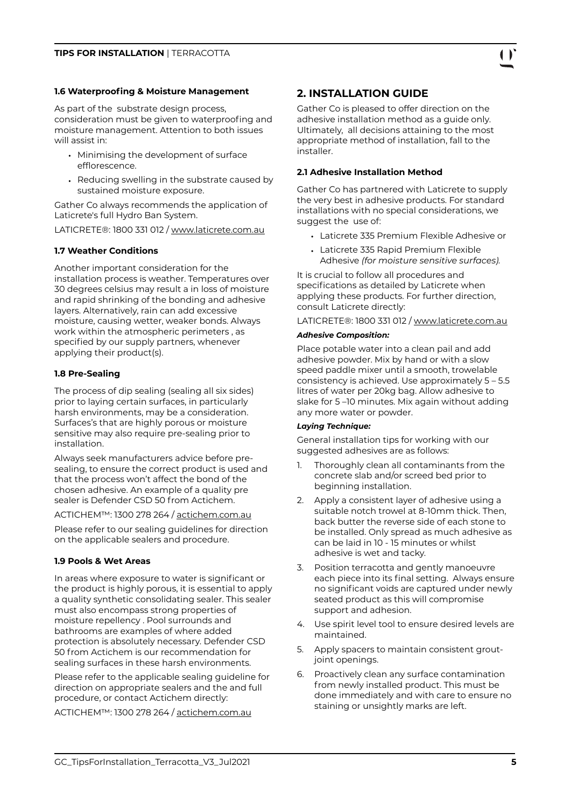#### **1.6 Waterproofing & Moisture Management**

As part of the substrate design process, consideration must be given to waterproofing and moisture management. Attention to both issues will assist in:

- Minimising the development of surface efflorescence.
- Reducing swelling in the substrate caused by sustained moisture exposure.

Gather Co always recommends the application of Laticrete's full Hydro Ban System.

LATICRETE®: 1800 331 012 / [www.laticrete.com.au](http://www.laticrete.com.au)

#### **1.7 Weather Conditions**

Another important consideration for the installation process is weather. Temperatures over 30 degrees celsius may result a in loss of moisture and rapid shrinking of the bonding and adhesive layers. Alternatively, rain can add excessive moisture, causing wetter, weaker bonds. Always work within the atmospheric perimeters , as specified by our supply partners, whenever applying their product(s).

#### **1.8 Pre-Sealing**

The process of dip sealing (sealing all six sides) prior to laying certain surfaces, in particularly harsh environments, may be a consideration. Surfaces's that are highly porous or moisture sensitive may also require pre-sealing prior to installation.

Always seek manufacturers advice before presealing, to ensure the correct product is used and that the process won't affect the bond of the chosen adhesive. An example of a quality pre sealer is Defender CSD 50 from Actichem.

ACTICHEM™: 1300 278 264 / [actichem.com.au](http://actichem.com.au)

Please refer to our sealing guidelines for direction on the applicable sealers and procedure.

#### **1.9 Pools & Wet Areas**

In areas where exposure to water is significant or the product is highly porous, it is essential to apply a quality synthetic consolidating sealer. This sealer must also encompass strong properties of moisture repellency . Pool surrounds and bathrooms are examples of where added protection is absolutely necessary. Defender CSD 50 from Actichem is our recommendation for sealing surfaces in these harsh environments.

Please refer to the applicable sealing guideline for direction on appropriate sealers and the and full procedure, or contact Actichem directly:

ACTICHEM™: 1300 278 264 / [actichem.com.au](http://actichem.com.au)

#### **2. INSTALLATION GUIDE**

Gather Co is pleased to offer direction on the adhesive installation method as a guide only. Ultimately, all decisions attaining to the most appropriate method of installation, fall to the installer.

#### **2.1 Adhesive Installation Method**

Gather Co has partnered with Laticrete to supply the very best in adhesive products. For standard installations with no special considerations, we suggest the use of:

- Laticrete 335 Premium Flexible Adhesive or
- Laticrete 335 Rapid Premium Flexible Adhesive *(for moisture sensitive surfaces).*

It is crucial to follow all procedures and specifications as detailed by Laticrete when applying these products. For further direction, consult Laticrete directly:

LATICRETE®: 1800 331 012 / [www.laticrete.com.au](http://www.laticrete.com.au)

#### *Adhesive Composition:*

Place potable water into a clean pail and add adhesive powder. Mix by hand or with a slow speed paddle mixer until a smooth, trowelable consistency is achieved. Use approximately 5 – 5.5 litres of water per 20kg bag. Allow adhesive to slake for 5 –10 minutes. Mix again without adding any more water or powder.

#### *Laying Technique:*

General installation tips for working with our suggested adhesives are as follows:

- 1. Thoroughly clean all contaminants from the concrete slab and/or screed bed prior to beginning installation.
- 2. Apply a consistent layer of adhesive using a suitable notch trowel at 8-10mm thick. Then, back butter the reverse side of each stone to be installed. Only spread as much adhesive as can be laid in 10 - 15 minutes or whilst adhesive is wet and tacky.
- 3. Position terracotta and gently manoeuvre each piece into its final setting. Always ensure no significant voids are captured under newly seated product as this will compromise support and adhesion.
- 4. Use spirit level tool to ensure desired levels are maintained.
- 5. Apply spacers to maintain consistent groutjoint openings.
- 6. Proactively clean any surface contamination from newly installed product. This must be done immediately and with care to ensure no staining or unsightly marks are left.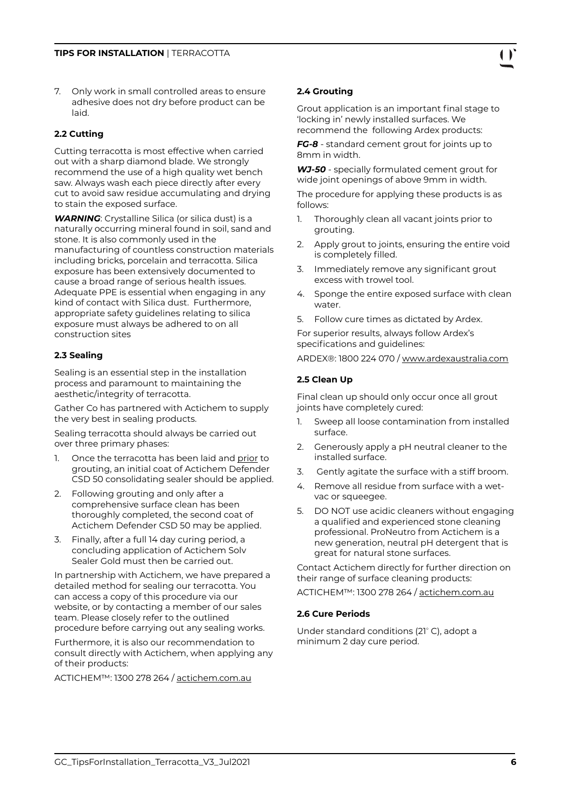7. Only work in small controlled areas to ensure adhesive does not dry before product can be laid.

#### **2.2 Cutting**

Cutting terracotta is most effective when carried out with a sharp diamond blade. We strongly recommend the use of a high quality wet bench saw. Always wash each piece directly after every cut to avoid saw residue accumulating and drying to stain the exposed surface.

*WARNING*: Crystalline Silica (or silica dust) is a naturally occurring mineral found in soil, sand and stone. It is also commonly used in the manufacturing of countless construction materials including bricks, porcelain and terracotta. Silica exposure has been extensively documented to cause a broad range of serious health issues. Adequate PPE is essential when engaging in any kind of contact with Silica dust. Furthermore, appropriate safety guidelines relating to silica exposure must always be adhered to on all construction sites

#### **2.3 Sealing**

Sealing is an essential step in the installation process and paramount to maintaining the aesthetic/integrity of terracotta.

Gather Co has partnered with Actichem to supply the very best in sealing products.

Sealing terracotta should always be carried out over three primary phases:

- 1. Once the terracotta has been laid and prior to grouting, an initial coat of Actichem Defender CSD 50 consolidating sealer should be applied.
- 2. Following grouting and only after a comprehensive surface clean has been thoroughly completed, the second coat of Actichem Defender CSD 50 may be applied.
- 3. Finally, after a full 14 day curing period, a concluding application of Actichem Solv Sealer Gold must then be carried out.

In partnership with Actichem, we have prepared a detailed method for sealing our terracotta. You can access a copy of this procedure via our website, or by contacting a member of our sales team. Please closely refer to the outlined procedure before carrying out any sealing works.

Furthermore, it is also our recommendation to consult directly with Actichem, when applying any of their products:

ACTICHEM™: 1300 278 264 / [actichem.com.au](http://actichem.com.au)

#### **2.4 Grouting**

Grout application is an important final stage to 'locking in' newly installed surfaces. We recommend the following Ardex products:

*FG-8* - standard cement grout for joints up to 8mm in width.

*WJ-50* - specially formulated cement grout for wide joint openings of above 9mm in width.

The procedure for applying these products is as follows:

- 1. Thoroughly clean all vacant joints prior to grouting.
- 2. Apply grout to joints, ensuring the entire void is completely filled.
- 3. Immediately remove any significant grout excess with trowel tool.
- 4. Sponge the entire exposed surface with clean water.
- 5. Follow cure times as dictated by Ardex.

For superior results, always follow Ardex's specifications and guidelines:

ARDEX®: 1800 224 070 / [www.ardexaustralia.com](http://www.ardexaustralia.com)

#### **2.5 Clean Up**

Final clean up should only occur once all grout joints have completely cured:

- 1. Sweep all loose contamination from installed surface.
- 2. Generously apply a pH neutral cleaner to the installed surface.
- 3. Gently agitate the surface with a stiff broom.
- 4. Remove all residue from surface with a wetvac or squeegee.
- 5. DO NOT use acidic cleaners without engaging a qualified and experienced stone cleaning professional. ProNeutro from Actichem is a new generation, neutral pH detergent that is great for natural stone surfaces.

Contact Actichem directly for further direction on their range of surface cleaning products:

ACTICHEM™: 1300 278 264 / [actichem.com.au](http://actichem.com.au)

#### **2.6 Cure Periods**

Under standard conditions (21° C), adopt a minimum 2 day cure period.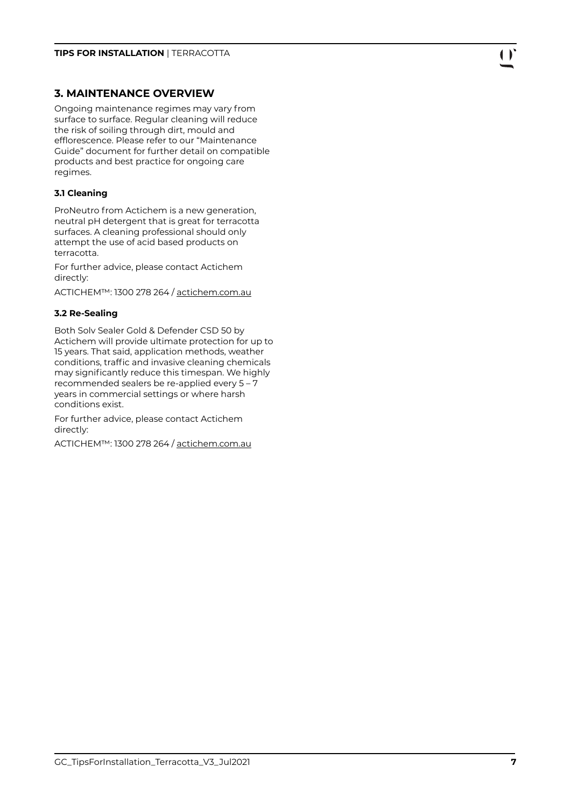#### **3. MAINTENANCE OVERVIEW**

Ongoing maintenance regimes may vary from surface to surface. Regular cleaning will reduce the risk of soiling through dirt, mould and efflorescence. Please refer to our "Maintenance Guide" document for further detail on compatible products and best practice for ongoing care regimes.

#### **3.1 Cleaning**

ProNeutro from Actichem is a new generation, neutral pH detergent that is great for terracotta surfaces. A cleaning professional should only attempt the use of acid based products on terracotta.

For further advice, please contact Actichem directly:

ACTICHEM™: 1300 278 264 / [actichem.com.au](http://actichem.com.au)

#### **3.2 Re-Sealing**

Both Solv Sealer Gold & Defender CSD 50 by Actichem will provide ultimate protection for up to 15 years. That said, application methods, weather conditions, traffic and invasive cleaning chemicals may significantly reduce this timespan. We highly recommended sealers be re-applied every 5 – 7 years in commercial settings or where harsh conditions exist.

For further advice, please contact Actichem directly:

ACTICHEM™: 1300 278 264 / [actichem.com.au](http://actichem.com.au)